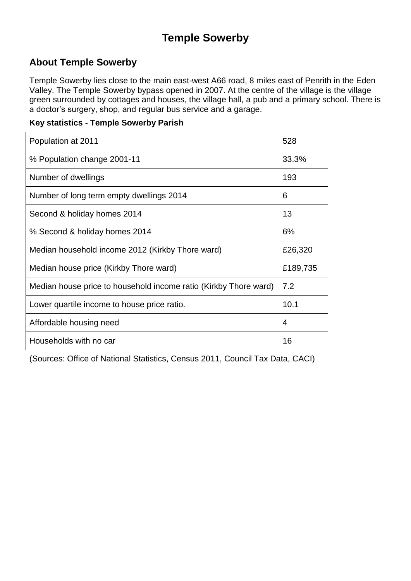### **Temple Sowerby**

#### **About Temple Sowerby**

Temple Sowerby lies close to the main east-west A66 road, 8 miles east of Penrith in the Eden Valley. The Temple Sowerby bypass opened in 2007. At the centre of the village is the village green surrounded by cottages and houses, the village hall, a pub and a primary school. There is a doctor's surgery, shop, and regular bus service and a garage.

#### **Key statistics - Temple Sowerby Parish**

| Population at 2011                                               | 528      |
|------------------------------------------------------------------|----------|
| % Population change 2001-11                                      | 33.3%    |
| Number of dwellings                                              | 193      |
| Number of long term empty dwellings 2014                         | 6        |
| Second & holiday homes 2014                                      | 13       |
| % Second & holiday homes 2014                                    | 6%       |
| Median household income 2012 (Kirkby Thore ward)                 | £26,320  |
| Median house price (Kirkby Thore ward)                           | £189,735 |
| Median house price to household income ratio (Kirkby Thore ward) | 7.2      |
| Lower quartile income to house price ratio.                      | 10.1     |
| Affordable housing need                                          | 4        |
| Households with no car                                           | 16       |

(Sources: Office of National Statistics, Census 2011, Council Tax Data, CACI)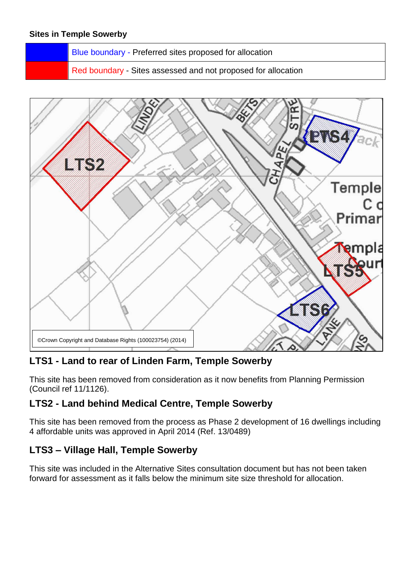Blue boundary - Preferred sites proposed for allocation

Red boundary - Sites assessed and not proposed for allocation



#### **LTS1 - Land to rear of Linden Farm, Temple Sowerby**

This site has been removed from consideration as it now benefits from Planning Permission (Council ref 11/1126).

#### **LTS2 - Land behind Medical Centre, Temple Sowerby**

This site has been removed from the process as Phase 2 development of 16 dwellings including 4 affordable units was approved in April 2014 (Ref. 13/0489)

#### **LTS3 – Village Hall, Temple Sowerby**

This site was included in the Alternative Sites consultation document but has not been taken forward for assessment as it falls below the minimum site size threshold for allocation.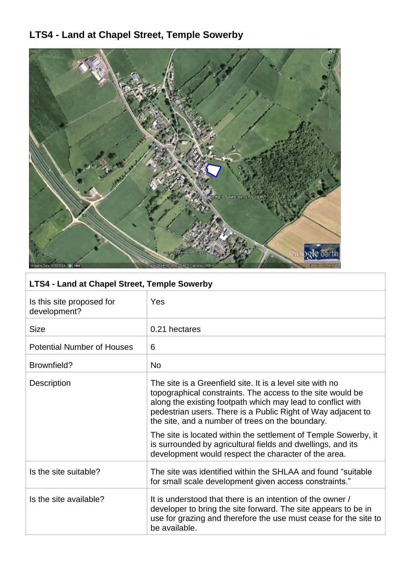## **LTS4 - Land at Chapel Street, Temple Sowerby**



| Is this site proposed for<br>development? | Yes                                                                                                                                                                                                                                                                                                        |
|-------------------------------------------|------------------------------------------------------------------------------------------------------------------------------------------------------------------------------------------------------------------------------------------------------------------------------------------------------------|
| <b>Size</b>                               | 0.21 hectares                                                                                                                                                                                                                                                                                              |
| <b>Potential Number of Houses</b>         | 6                                                                                                                                                                                                                                                                                                          |
| Brownfield?                               | <b>No</b>                                                                                                                                                                                                                                                                                                  |
| Description                               | The site is a Greenfield site. It is a level site with no<br>topographical constraints. The access to the site would be<br>along the existing footpath which may lead to conflict with<br>pedestrian users. There is a Public Right of Way adjacent to<br>the site, and a number of trees on the boundary. |
|                                           | The site is located within the settlement of Temple Sowerby, it<br>is surrounded by agricultural fields and dwellings, and its<br>development would respect the character of the area.                                                                                                                     |
| Is the site suitable?                     | The site was identified within the SHLAA and found "suitable"<br>for small scale development given access constraints."                                                                                                                                                                                    |
| Is the site available?                    | It is understood that there is an intention of the owner /<br>developer to bring the site forward. The site appears to be in<br>use for grazing and therefore the use must cease for the site to<br>be available.                                                                                          |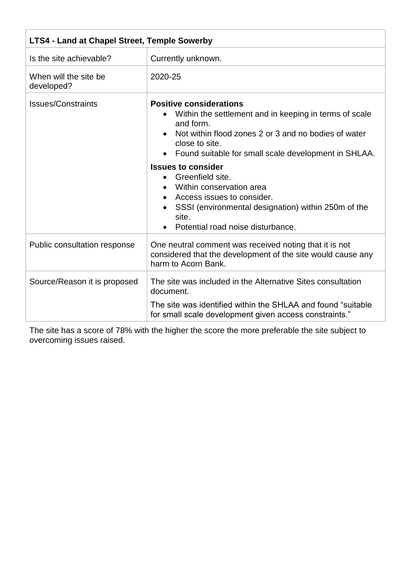| <b>LTS4 - Land at Chapel Street, Temple Sowerby</b> |                                                                                                                                                                                                                                         |
|-----------------------------------------------------|-----------------------------------------------------------------------------------------------------------------------------------------------------------------------------------------------------------------------------------------|
| Is the site achievable?                             | Currently unknown.                                                                                                                                                                                                                      |
| When will the site be<br>developed?                 | 2020-25                                                                                                                                                                                                                                 |
| <b>Issues/Constraints</b>                           | <b>Positive considerations</b><br>Within the settlement and in keeping in terms of scale<br>and form.<br>Not within flood zones 2 or 3 and no bodies of water<br>close to site.<br>Found suitable for small scale development in SHLAA. |
|                                                     | <b>Issues to consider</b><br>Greenfield site.<br>$\bullet$<br>Within conservation area<br>Access issues to consider.<br>SSSI (environmental designation) within 250m of the<br>site.<br>Potential road noise disturbance.               |
| Public consultation response                        | One neutral comment was received noting that it is not<br>considered that the development of the site would cause any<br>harm to Acorn Bank.                                                                                            |
| Source/Reason it is proposed                        | The site was included in the Alternative Sites consultation<br>document.<br>The site was identified within the SHLAA and found "suitable"<br>for small scale development given access constraints."                                     |

The site has a score of 78% with the higher the score the more preferable the site subject to overcoming issues raised.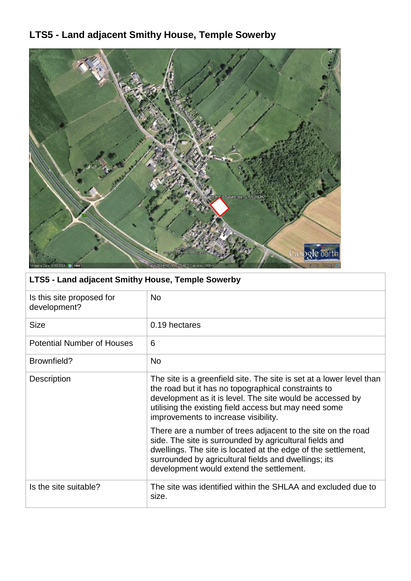# **LTS5 - Land adjacent Smithy House, Temple Sowerby**



| LTS5 - Land adjacent Smithy House, Temple Sowerby |                                                                                                                                                                                                                                                                                              |  |
|---------------------------------------------------|----------------------------------------------------------------------------------------------------------------------------------------------------------------------------------------------------------------------------------------------------------------------------------------------|--|
| Is this site proposed for<br>development?         | <b>No</b>                                                                                                                                                                                                                                                                                    |  |
| Size                                              | 0.19 hectares                                                                                                                                                                                                                                                                                |  |
| <b>Potential Number of Houses</b>                 | 6                                                                                                                                                                                                                                                                                            |  |
| Brownfield?                                       | <b>No</b>                                                                                                                                                                                                                                                                                    |  |
| <b>Description</b>                                | The site is a greenfield site. The site is set at a lower level than<br>the road but it has no topographical constraints to<br>development as it is level. The site would be accessed by<br>utilising the existing field access but may need some<br>improvements to increase visibility.    |  |
|                                                   | There are a number of trees adjacent to the site on the road<br>side. The site is surrounded by agricultural fields and<br>dwellings. The site is located at the edge of the settlement,<br>surrounded by agricultural fields and dwellings; its<br>development would extend the settlement. |  |
| Is the site suitable?                             | The site was identified within the SHLAA and excluded due to<br>size.                                                                                                                                                                                                                        |  |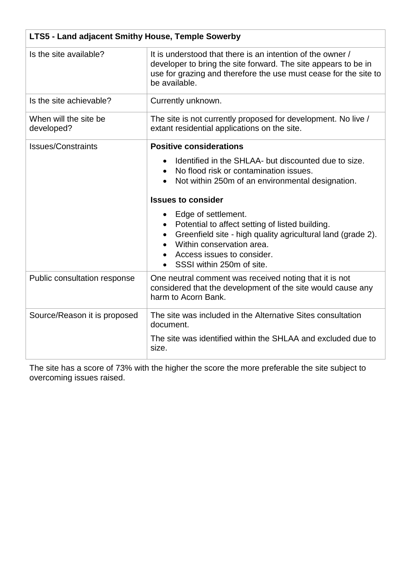| LTS5 - Land adjacent Smithy House, Temple Sowerby |                                                                                                                                                                                                                               |
|---------------------------------------------------|-------------------------------------------------------------------------------------------------------------------------------------------------------------------------------------------------------------------------------|
| Is the site available?                            | It is understood that there is an intention of the owner /<br>developer to bring the site forward. The site appears to be in<br>use for grazing and therefore the use must cease for the site to<br>be available.             |
| Is the site achievable?                           | Currently unknown.                                                                                                                                                                                                            |
| When will the site be<br>developed?               | The site is not currently proposed for development. No live /<br>extant residential applications on the site.                                                                                                                 |
| <b>Issues/Constraints</b>                         | <b>Positive considerations</b>                                                                                                                                                                                                |
|                                                   | Identified in the SHLAA- but discounted due to size.<br>No flood risk or contamination issues.<br>$\bullet$<br>Not within 250m of an environmental designation.<br><b>Issues to consider</b>                                  |
|                                                   |                                                                                                                                                                                                                               |
|                                                   | Edge of settlement.<br>Potential to affect setting of listed building.<br>Greenfield site - high quality agricultural land (grade 2).<br>Within conservation area.<br>Access issues to consider.<br>SSSI within 250m of site. |
| Public consultation response                      | One neutral comment was received noting that it is not<br>considered that the development of the site would cause any<br>harm to Acorn Bank.                                                                                  |
| Source/Reason it is proposed                      | The site was included in the Alternative Sites consultation<br>document.                                                                                                                                                      |
|                                                   | The site was identified within the SHLAA and excluded due to<br>size.                                                                                                                                                         |

The site has a score of 73% with the higher the score the more preferable the site subject to overcoming issues raised.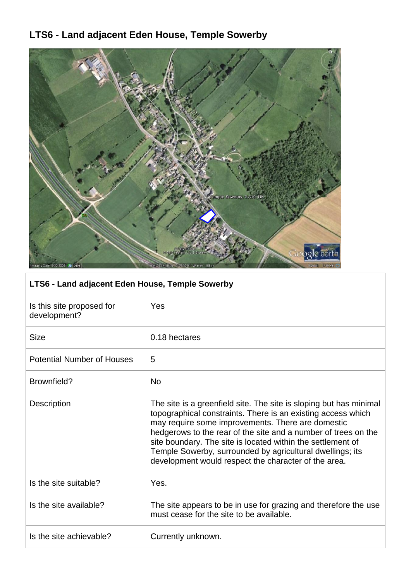# **LTS6 - Land adjacent Eden House, Temple Sowerby**



### **LTS6 - Land adjacent Eden House, Temple Sowerby**

| Is this site proposed for<br>development? | Yes                                                                                                                                                                                                                                                                                                                                                                                                                                           |
|-------------------------------------------|-----------------------------------------------------------------------------------------------------------------------------------------------------------------------------------------------------------------------------------------------------------------------------------------------------------------------------------------------------------------------------------------------------------------------------------------------|
| <b>Size</b>                               | 0.18 hectares                                                                                                                                                                                                                                                                                                                                                                                                                                 |
| <b>Potential Number of Houses</b>         | 5                                                                                                                                                                                                                                                                                                                                                                                                                                             |
| Brownfield?                               | <b>No</b>                                                                                                                                                                                                                                                                                                                                                                                                                                     |
| <b>Description</b>                        | The site is a greenfield site. The site is sloping but has minimal<br>topographical constraints. There is an existing access which<br>may require some improvements. There are domestic<br>hedgerows to the rear of the site and a number of trees on the<br>site boundary. The site is located within the settlement of<br>Temple Sowerby, surrounded by agricultural dwellings; its<br>development would respect the character of the area. |
| Is the site suitable?                     | Yes.                                                                                                                                                                                                                                                                                                                                                                                                                                          |
| Is the site available?                    | The site appears to be in use for grazing and therefore the use<br>must cease for the site to be available.                                                                                                                                                                                                                                                                                                                                   |
| Is the site achievable?                   | Currently unknown.                                                                                                                                                                                                                                                                                                                                                                                                                            |